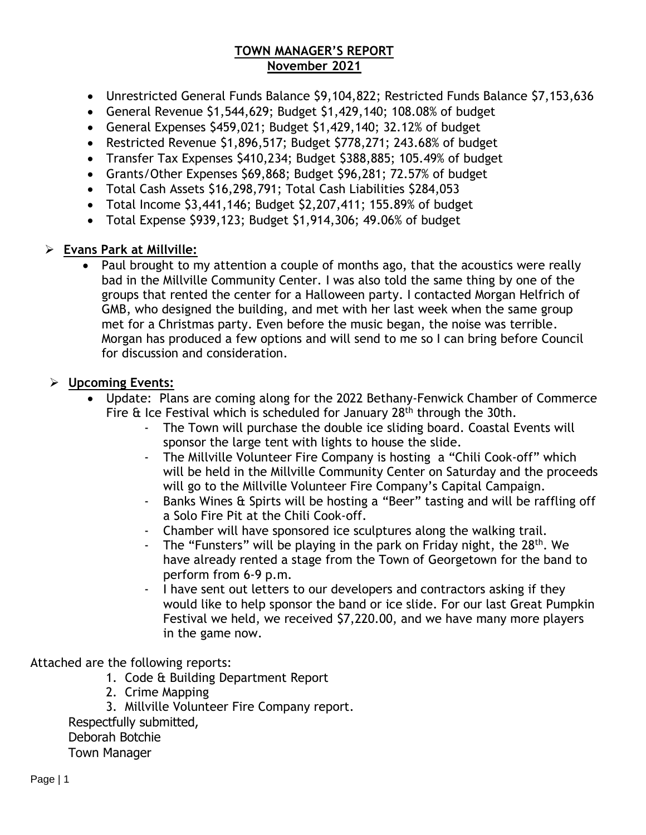#### **TOWN MANAGER'S REPORT November 2021**

- Unrestricted General Funds Balance \$9,104,822; Restricted Funds Balance \$7,153,636
- General Revenue \$1,544,629; Budget \$1,429,140; 108.08% of budget
- General Expenses \$459,021; Budget \$1,429,140; 32.12% of budget
- Restricted Revenue \$1,896,517; Budget \$778,271; 243.68% of budget
- Transfer Tax Expenses \$410,234; Budget \$388,885; 105.49% of budget
- Grants/Other Expenses \$69,868; Budget \$96,281; 72.57% of budget
- Total Cash Assets \$16,298,791; Total Cash Liabilities \$284,053
- Total Income \$3,441,146; Budget \$2,207,411; 155.89% of budget
- Total Expense \$939,123; Budget \$1,914,306; 49.06% of budget

#### ➢ **Evans Park at Millville:**

• Paul brought to my attention a couple of months ago, that the acoustics were really bad in the Millville Community Center. I was also told the same thing by one of the groups that rented the center for a Halloween party. I contacted Morgan Helfrich of GMB, who designed the building, and met with her last week when the same group met for a Christmas party. Even before the music began, the noise was terrible. Morgan has produced a few options and will send to me so I can bring before Council for discussion and consideration.

#### ➢ **Upcoming Events:**

- Update: Plans are coming along for the 2022 Bethany-Fenwick Chamber of Commerce Fire  $\hat{\alpha}$  Ice Festival which is scheduled for January 28<sup>th</sup> through the 30th.
	- The Town will purchase the double ice sliding board. Coastal Events will sponsor the large tent with lights to house the slide.
	- The Millville Volunteer Fire Company is hosting a "Chili Cook-off" which will be held in the Millville Community Center on Saturday and the proceeds will go to the Millville Volunteer Fire Company's Capital Campaign.
	- Banks Wines & Spirts will be hosting a "Beer" tasting and will be raffling off a Solo Fire Pit at the Chili Cook-off.
	- Chamber will have sponsored ice sculptures along the walking trail.
	- The "Funsters" will be playing in the park on Friday night, the 28<sup>th</sup>. We have already rented a stage from the Town of Georgetown for the band to perform from 6-9 p.m.
	- I have sent out letters to our developers and contractors asking if they would like to help sponsor the band or ice slide. For our last Great Pumpkin Festival we held, we received \$7,220.00, and we have many more players in the game now.

Attached are the following reports:

- 1. Code & Building Department Report
- 2. Crime Mapping
- 3. Millville Volunteer Fire Company report.

Respectfully submitted,

Deborah Botchie

Town Manager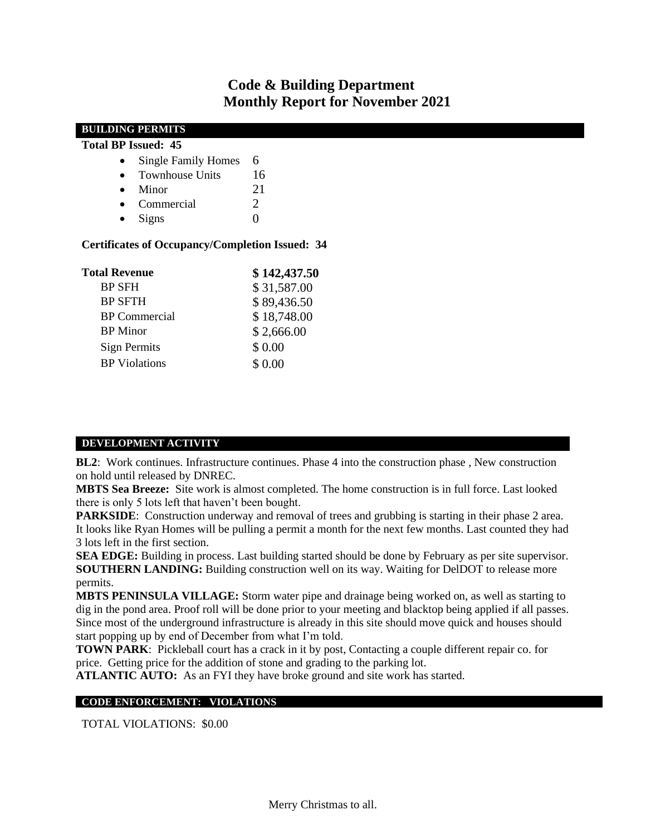### **Code & Building Department Monthly Report for November 2021**

| <b>BUILDING PERMITS</b>                                                        |                |
|--------------------------------------------------------------------------------|----------------|
| <b>Total BP Issued: 45</b>                                                     |                |
| <b>Single Family Homes</b><br>$\bullet$                                        | 6              |
| <b>Townhouse Units</b><br>$\bullet$                                            | 16             |
| Minor<br>$\bullet$                                                             | 21             |
| Commercial<br>$\bullet$                                                        | 2              |
| Signs<br>$\bullet$                                                             | $\overline{0}$ |
| <b>Certificates of Occupancy/Completion Issued: 34</b><br><b>Total Revenue</b> | \$142,437.50   |
| <b>BP SFH</b>                                                                  | \$31,587.00    |
| <b>BP SFTH</b>                                                                 | \$89,436.50    |
| <b>BP</b> Commercial                                                           | \$18,748.00    |
| <b>BP</b> Minor                                                                | \$2,666.00     |
| <b>Sign Permits</b>                                                            | \$ 0.00        |
| <b>BP</b> Violations                                                           | \$ 0.00        |
|                                                                                |                |

#### **DEVELOPMENT ACTIVITY**

**BL2**: Work continues. Infrastructure continues. Phase 4 into the construction phase, New construction on hold until released by DNREC.

**MBTS Sea Breeze:** Site work is almost completed. The home construction is in full force. Last looked there is only 5 lots left that haven't been bought.

**PARKSIDE**: Construction underway and removal of trees and grubbing is starting in their phase 2 area. It looks like Ryan Homes will be pulling a permit a month for the next few months. Last counted they had 3 lots left in the first section.

**SEA EDGE:** Building in process. Last building started should be done by February as per site supervisor. **SOUTHERN LANDING:** Building construction well on its way. Waiting for DelDOT to release more permits.

**MBTS PENINSULA VILLAGE:** Storm water pipe and drainage being worked on, as well as starting to dig in the pond area. Proof roll will be done prior to your meeting and blacktop being applied if all passes. Since most of the underground infrastructure is already in this site should move quick and houses should start popping up by end of December from what I'm told.

**TOWN PARK**: Pickleball court has a crack in it by post, Contacting a couple different repair co. for price. Getting price for the addition of stone and grading to the parking lot.

**ATLANTIC AUTO:** As an FYI they have broke ground and site work has started.

#### **CODE ENFORCEMENT: VIOLATIONS**

TOTAL VIOLATIONS: \$0.00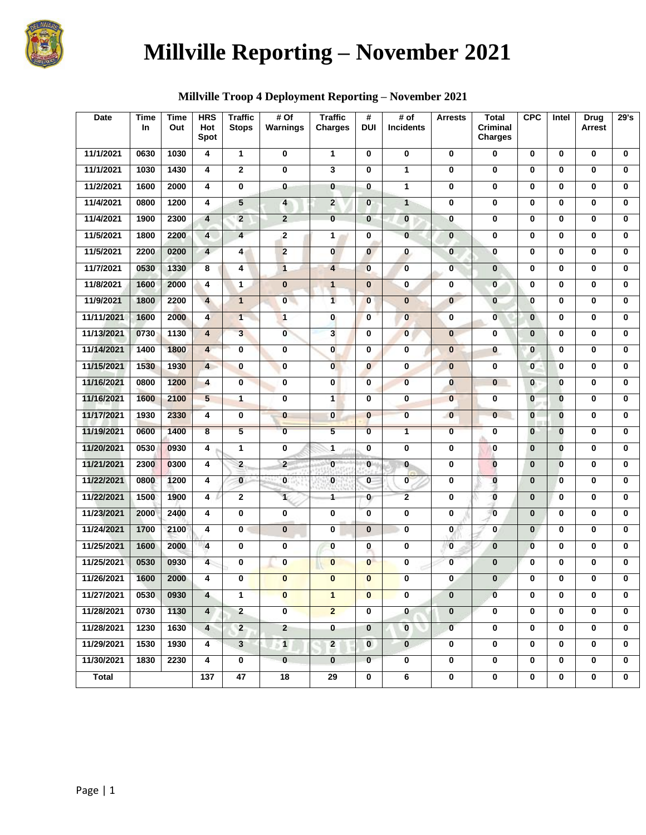

# **Millville Reporting – November 2021**

| <b>Date</b>  | Time<br><b>In</b> | Time<br>Out | <b>HRS</b><br>Hot<br>Spot | <b>Traffic</b><br><b>Stops</b> | # Of<br>Warnings | <b>Traffic</b><br><b>Charges</b> | #<br><b>DUI</b> | # of<br><b>Incidents</b> | <b>Arrests</b> | <b>Total</b><br><b>Criminal</b><br><b>Charges</b> | <b>CPC</b>   | Intel        | Drug<br>Arrest | 29's         |
|--------------|-------------------|-------------|---------------------------|--------------------------------|------------------|----------------------------------|-----------------|--------------------------|----------------|---------------------------------------------------|--------------|--------------|----------------|--------------|
| 11/1/2021    | 0630              | 1030        | 4                         | 1                              | 0                | 1                                | 0               | 0                        | 0              | 0                                                 | 0            | 0            | 0              | $\bf{0}$     |
| 11/1/2021    | 1030              | 1430        | 4                         | $\overline{2}$                 | 0                | 3                                | $\bf{0}$        | 1                        | $\mathbf 0$    | $\mathbf 0$                                       | $\mathbf 0$  | $\mathbf 0$  | $\bf{0}$       | $\bf{0}$     |
| 11/2/2021    | 1600              | 2000        | 4                         | 0                              | $\bf{0}$         | 0                                | 0               | 1                        | $\mathbf 0$    | $\bf{0}$                                          | 0            | 0            | 0              | 0            |
| 11/4/2021    | 0800              | 1200        | 4                         | 5                              | 4                | $\overline{2}$                   | $\mathbf 0$     | $\mathbf{1}$             | $\bf{0}$       | $\bf{0}$                                          | $\mathbf 0$  | 0            | 0              | $\bf{0}$     |
| 11/4/2021    | 1900              | 2300        | $\overline{\mathbf{4}}$   | $\overline{2}$                 | $\overline{2}$   | $\mathbf{0}$                     | $\bf{0}$        | $\bf{0}$                 | $\bf{0}$       | $\mathbf 0$                                       | $\bf{0}$     | $\mathbf 0$  | 0              | $\bf{0}$     |
| 11/5/2021    | 1800              | 2200        | $\overline{\mathbf{4}}$   | $\overline{\mathbf{4}}$        | $\overline{2}$   | 1                                | $\bf{0}$        | $\mathbf{0}$             | $\bf{0}$       | $\bf{0}$                                          | 0            | 0            | $\bf{0}$       | $\bf{0}$     |
| 11/5/2021    | 2200              | 0200        | $\overline{4}$            | 4                              | $\overline{2}$   | $\mathbf{0}$                     | $\mathbf{0}$    | $\bf{0}$                 | $\bf{0}$       | $\mathbf 0$                                       | 0            | 0            | 0              | $\bf{0}$     |
| 11/7/2021    | 0530              | 1330        | 8                         | 4                              | $\overline{1}$   | 4                                | $\bf{0}$        | $\bf{0}$                 | $\overline{0}$ | $\mathbf{0}$                                      | $\bf{0}$     | 0            | 0              | 0            |
| 11/8/2021    | 1600              | 2000        | 4                         | 1                              | $\bf{0}$         | $\mathbf{1}$                     | $\bf{0}$        | 0                        | 0              | $\bf{0}$                                          | 0            | 0            | 0              | $\bf{0}$     |
| 11/9/2021    | 1800              | 2200        | $\overline{4}$            | $\mathbf{1}$                   | $\bf{0}$         | $\overline{1}$                   | $\bf{0}$        | $\bf{0}$                 | $\bf{0}$       | $\bf{0}$                                          | $\bf{0}$     | 0            | 0              | $\bf{0}$     |
| 11/11/2021   | 1600              | 2000        | $\overline{\mathbf{4}}$   | $\overline{1}$                 | $\mathbf{1}$     | $\mathbf{0}$                     | $\mathbf{0}$    | $\mathbf{0}$             | $\mathbf 0$    | $\bf{0}$                                          | $\bf{0}$     | 0            | $\bf{0}$       | $\bf{0}$     |
| 11/13/2021   | 0730              | 1130        | $\overline{\mathbf{4}}$   | $\overline{3}$                 | $\overline{0}$   | $\overline{\mathbf{3}}$          | $\bf{0}$        | $\mathbf{0}$             | $\bf{0}$       | $\mathbf 0$                                       | $\bf{0}$     | 0            | $\bf{0}$       | $\bf{0}$     |
| 11/14/2021   | 1400              | 1800        | $\overline{\mathbf{4}}$   | 0                              | 0                | $\mathbf{0}$                     | $\bf{0}$        | 0                        | $\bf{0}$       | $\bf{0}$                                          | $\bf{0}$     | 0            | 0              | $\bf{0}$     |
| 11/15/2021   | 1530              | 1930        | $\overline{4}$            | 0                              | $\bf{0}$         | $\mathbf{0}$                     | $\mathbf{0}$    | $\mathbf 0$              | $\bf{0}$       | $\bf{0}$                                          | $\mathbf 0$  | $\bf{0}$     | 0              | $\bf{0}$     |
| 11/16/2021   | 0800              | 1200        | 4                         | $\bf{0}$                       | 0                | $\mathbf{0}$                     | 0               | $\bf{0}$                 | $\bf{0}$       | $\bf{0}$                                          | $\bf{0}$     | $\bf{0}$     | 0              | 0            |
| 11/16/2021   | 1600              | 2100        | 5                         | $\mathbf{1}$                   | 0                | $\overline{1}$                   | 0               | 0                        | $\bf{0}$       | $\bf{0}$                                          | $\bf{0}$     | $\bf{0}$     | $\bf{0}$       | $\bf{0}$     |
| 11/17/2021   | 1930              | 2330        | $\overline{\mathbf{4}}$   | 0                              | $\bf{0}$         | $\bf{0}$                         | $\bf{0}$        | $\overline{\mathbf{0}}$  | $\mathbf{0}$   | $\bf{0}$                                          | $\bf{0}$     | $\bf{0}$     | 0              | $\mathbf{0}$ |
| 11/19/2021   | 0600              | 1400        | 8                         | 5                              | $\bf{0}$         | 5                                | $\bf{0}$        | $\mathbf{1}$             | $\mathbf 0$    | $\mathbf 0$                                       | $\bf{0}$     | $\bf{0}$     | $\bf{0}$       | $\bf{0}$     |
| 11/20/2021   | 0530              | 0930        | 4                         | $\mathbf{1}$                   | $\bf{0}$         | 1                                | $\bf{0}$        | 0                        | $\mathbf 0$    | $\bf{0}$                                          | $\bf{0}$     | $\bf{0}$     | 0              | $\bf{0}$     |
| 11/21/2021   | 2300              | 0300        | 4                         | $\overline{\mathbf{2}}$        | $\overline{2}$   | $\bf{0}$                         | $\bf{0}$        | $\bf{0}$                 | $\mathbf 0$    | $\bf{0}$                                          | $\bf{0}$     | $\bf{0}$     | 0              | 0            |
| 11/22/2021   | 0800              | 1200        | 4                         | $\bf{0}$                       | $\bf{0}$         | $\bf{0}$                         | 0               | $\mathbf 0$              | $\mathbf 0$    | $\bf{0}$                                          | $\mathbf 0$  | $\bf{0}$     | $\bf{0}$       | $\bf{0}$     |
| 11/22/2021   | 1500              | 1900        | 4                         | 2                              | 1.               | 1                                | $\mathbf{0}$    | $\overline{2}$           | $\bf{0}$       | $\bf{0}$                                          | $\bf{0}$     | 0            | 0              | $\bf{0}$     |
| 11/23/2021   | 2000              | 2400        | 4                         | 0                              | 0                | 0                                | $\mathbf 0$     | 0                        | $\bf{0}$       | $\bf{0}$                                          | $\mathbf 0$  | $\mathbf 0$  | $\bf{0}$       | $\bf{0}$     |
| 11/24/2021   | 1700              | 2100        | 4                         | 0                              | $\bf{0}$         | 0                                | $\mathbf{0}$    | $\bf{0}$                 | $\overline{0}$ | $\bf{0}$                                          | $\mathbf{0}$ | 0            | $\bf{0}$       | $\bf{0}$     |
| 11/25/2021   | 1600              | 2000        | 4                         | 0                              | 0                | 0                                | 0               | 0                        | $\bf{0}$       | $\bf{0}$                                          | $\bf{0}$     | 0            | 0              | 0            |
| 11/25/2021   | 0530              | 0930        | $\overline{4}$            | 0                              | $\mathbf{0}$     | $\bf{0}$                         | $\bf{0}$        | 0                        | $\bf{0}$       | $\bf{0}$                                          | $\bf{0}$     | $\mathbf 0$  | 0              | $\bf{0}$     |
| 11/26/2021   | 1600              | 2000        | 4                         | 0                              | $\bf{0}$         | $\bf{0}$                         | $\bf{0}$        | 0                        | 0              | $\bf{0}$                                          | $\bf{0}$     | 0            | 0              | 0            |
| 11/27/2021   | 0530              | 0930        | $\overline{4}$            | $\mathbf{1}$                   | $\mathbf{0}$     | $\mathbf{1}$                     | $\mathbf{0}$    | $\mathbf 0$              | $\mathbf 0$    | $\mathbf 0$                                       | $\mathbf 0$  | $\mathbf 0$  | $\mathbf 0$    | $\mathbf{0}$ |
| 11/28/2021   | 0730              | 1130        | $\overline{\mathbf{4}}$   | $2\overline{ }$                | $\mathbf{0}$     | $\overline{2}$                   | $\mathbf 0$     | $\mathbf{0}$             | $\mathbf{0}$   | $\mathbf 0$                                       | $\mathbf 0$  | $\mathbf{0}$ | $\mathbf 0$    | $\mathbf{0}$ |
| 11/28/2021   | 1230              | 1630        | $\overline{4}$            | $2^{\circ}$                    | $\overline{2}$   | $\overline{\mathbf{0}}$          | $\mathbf{0}$    | $\overline{\mathbf{0}}$  | $\overline{0}$ | $\mathbf 0$                                       | 0            | $\mathbf 0$  | $\mathbf 0$    | $\bf{0}$     |
| 11/29/2021   | 1530              | 1930        | 4                         | $3\phantom{a}$                 | - 1              | $\overline{2}$                   | $\overline{0}$  | $\mathbf{0}$             | $\mathbf 0$    | $\mathbf 0$                                       | 0            | $\mathbf 0$  | $\mathbf 0$    | $\mathbf{0}$ |
| 11/30/2021   | 1830              | 2230        | 4                         | 0                              | $\mathbf{0}$     | $\bf{0}$                         | $\mathbf{0}$    | 0                        | $\mathbf 0$    | $\mathbf 0$                                       | 0            | 0            | 0              | 0            |
| <b>Total</b> |                   |             | 137                       | 47                             | 18               | 29                               | 0               | 6                        | $\mathbf 0$    | $\mathbf 0$                                       | 0            | $\bf{0}$     | $\bf{0}$       | 0            |

### **Millville Troop 4 Deployment Reporting – November 2021**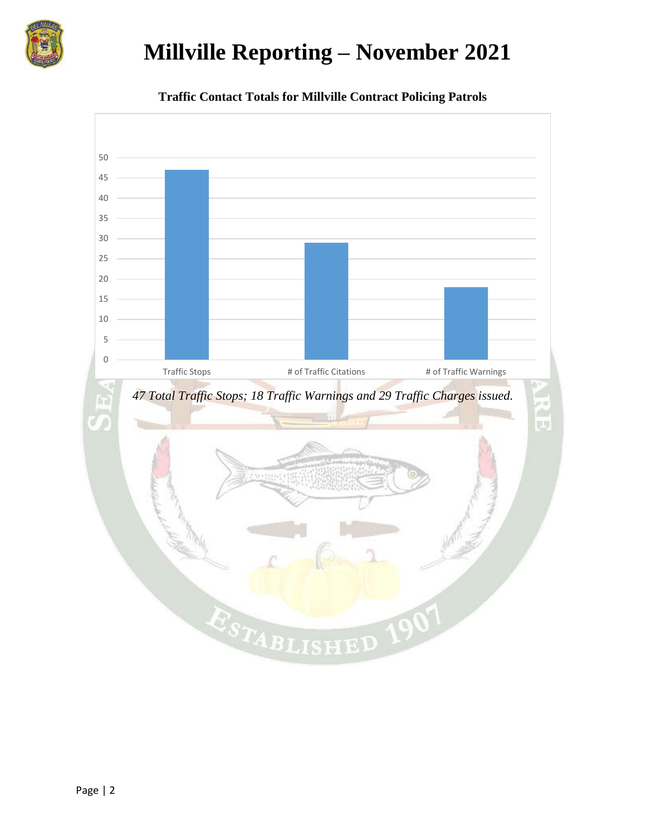

## **Millville Reporting – November 2021**



**Traffic Contact Totals for Millville Contract Policing Patrols**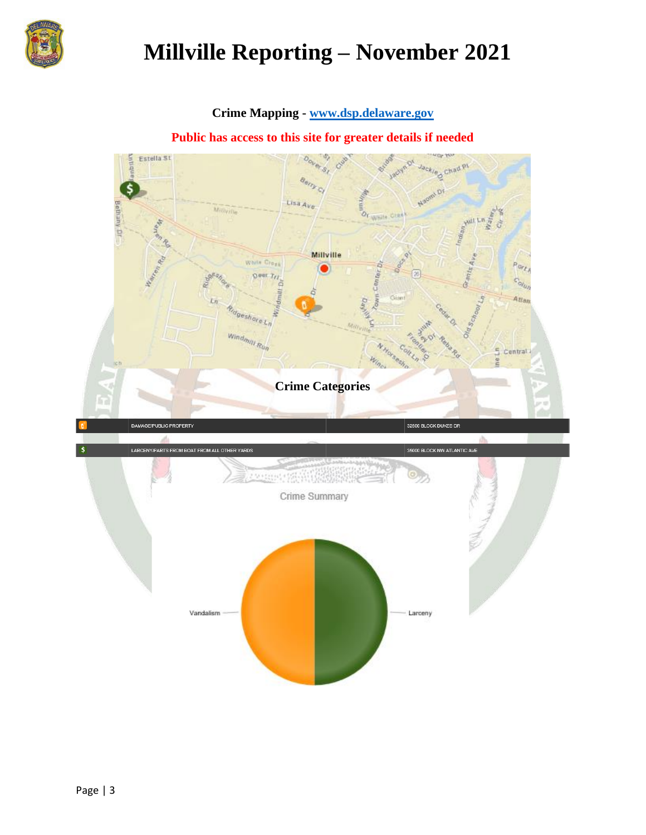

## **Millville Reporting – November 2021**

#### **Crime Mapping - [www.dsp.delaware.gov](http://www.dsp.delaware.gov/)**

**Public has access to this site for greater details if needed**

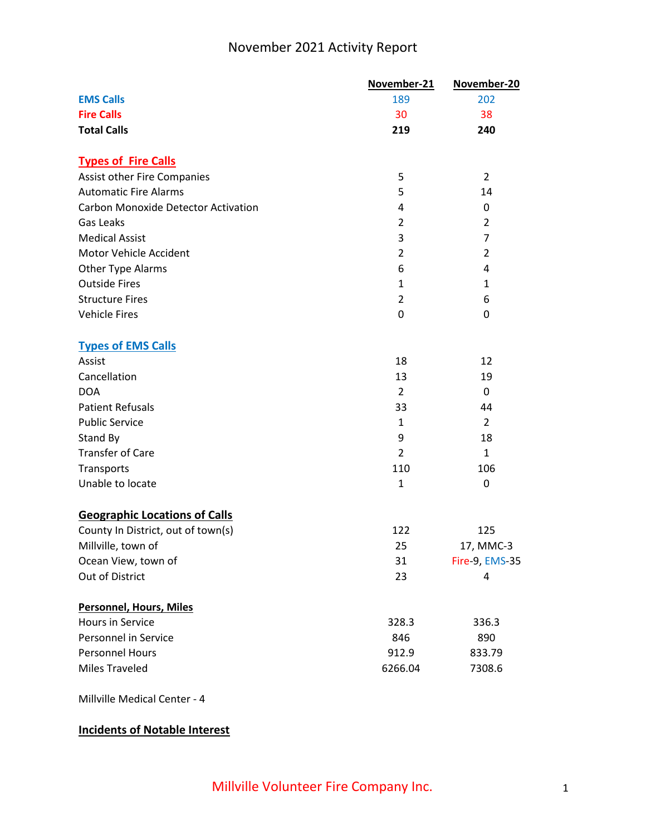### November 2021 Activity Report

|                                            | November-21    | November-20    |
|--------------------------------------------|----------------|----------------|
| <b>EMS Calls</b>                           | 189            | 202            |
| <b>Fire Calls</b>                          | 30             | 38             |
| <b>Total Calls</b>                         | 219            | 240            |
| <b>Types of Fire Calls</b>                 |                |                |
| <b>Assist other Fire Companies</b>         | 5              | $\overline{2}$ |
| <b>Automatic Fire Alarms</b>               | 5              | 14             |
| <b>Carbon Monoxide Detector Activation</b> | 4              | 0              |
| Gas Leaks                                  | $\overline{2}$ | $\overline{2}$ |
| <b>Medical Assist</b>                      | 3              | $\overline{7}$ |
| Motor Vehicle Accident                     | $\overline{2}$ | $\overline{2}$ |
| Other Type Alarms                          | 6              | 4              |
| <b>Outside Fires</b>                       | $\mathbf{1}$   | 1              |
| <b>Structure Fires</b>                     | $\overline{2}$ | 6              |
| <b>Vehicle Fires</b>                       | 0              | 0              |
| <b>Types of EMS Calls</b>                  |                |                |
| Assist                                     | 18             | 12             |
| Cancellation                               | 13             | 19             |
| <b>DOA</b>                                 | $\overline{2}$ | 0              |
| <b>Patient Refusals</b>                    | 33             | 44             |
| <b>Public Service</b>                      | $\mathbf{1}$   | $\overline{2}$ |
| Stand By                                   | 9              | 18             |
| <b>Transfer of Care</b>                    | $\overline{2}$ | $\mathbf{1}$   |
| Transports                                 | 110            | 106            |
| Unable to locate                           | $\mathbf{1}$   | 0              |
| <b>Geographic Locations of Calls</b>       |                |                |
| County In District, out of town(s)         | 122            | 125            |
| Millville, town of                         | 25             | 17, MMC-3      |
| Ocean View, town of                        | 31             | Fire-9, EMS-35 |
| Out of District                            | 23             | 4              |
| <b>Personnel, Hours, Miles</b>             |                |                |
| <b>Hours in Service</b>                    | 328.3          | 336.3          |
| Personnel in Service                       | 846            | 890            |
| <b>Personnel Hours</b>                     | 912.9          | 833.79         |
| <b>Miles Traveled</b>                      | 6266.04        | 7308.6         |

Millville Medical Center - 4

#### **Incidents of Notable Interest**